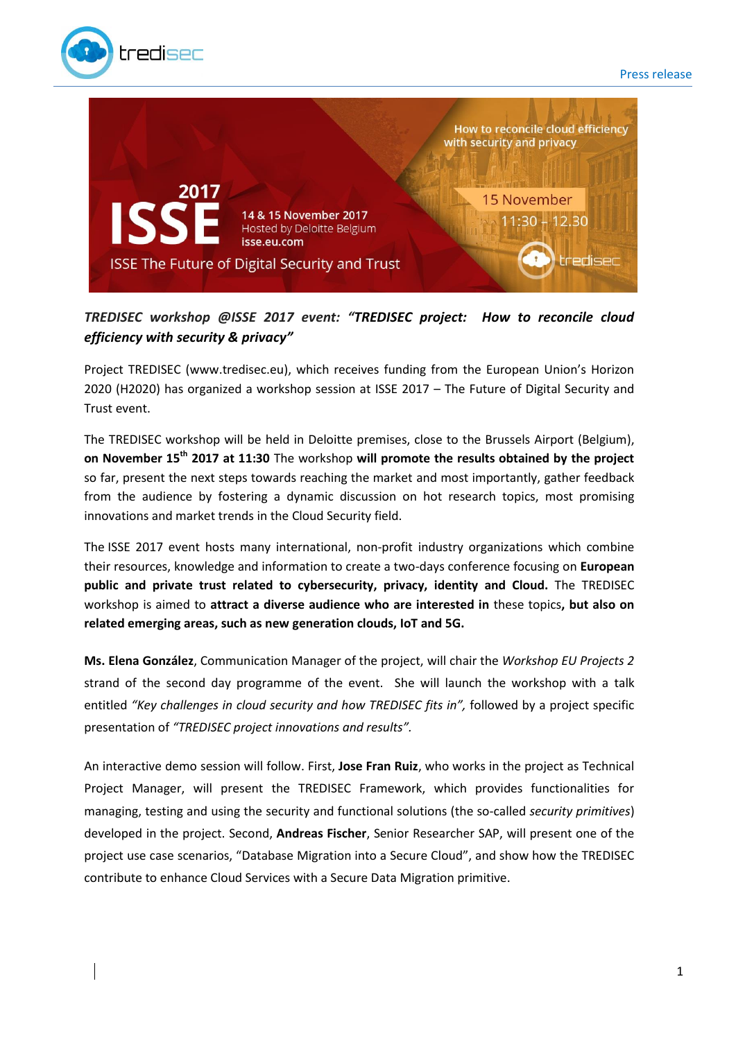



## *TREDISEC workshop @ISSE 2017 event: "TREDISEC project: How to reconcile cloud efficiency with security & privacy"*

Project TREDISEC (www.tredisec.eu), which receives funding from the European Union's Horizon 2020 (H2020) has organized a workshop session at ISSE 2017 – The Future of Digital Security and Trust event.

The TREDISEC workshop will be held in Deloitte premises, close to the Brussels Airport (Belgium), **on November 15th 2017 at 11:30** The workshop **will promote the results obtained by the project** so far, present the next steps towards reaching the market and most importantly, gather feedback from the audience by fostering a dynamic discussion on hot research topics, most promising innovations and market trends in the Cloud Security field.

The ISSE 2017 event hosts many international, non-profit industry organizations which combine their resources, knowledge and information to create a two-days conference focusing on **European public and private trust related to cybersecurity, privacy, identity and Cloud.** The TREDISEC workshop is aimed to **attract a diverse audience who are interested in** these topics**, but also on related emerging areas, such as new generation clouds, IoT and 5G.**

**Ms. Elena González**, Communication Manager of the project, will chair the *Workshop EU Projects 2* strand of the second day programme of the event. She will launch the workshop with a talk entitled *"Key challenges in cloud security and how TREDISEC fits in",* followed by a project specific presentation of *"TREDISEC project innovations and results".*

An interactive demo session will follow. First, **Jose Fran Ruiz**, who works in the project as Technical Project Manager, will present the TREDISEC Framework, which provides functionalities for managing, testing and using the security and functional solutions (the so-called *security primitives*) developed in the project. Second, **Andreas Fischer**, Senior Researcher SAP, will present one of the project use case scenarios, "Database Migration into a Secure Cloud", and show how the TREDISEC contribute to enhance Cloud Services with a Secure Data Migration primitive.